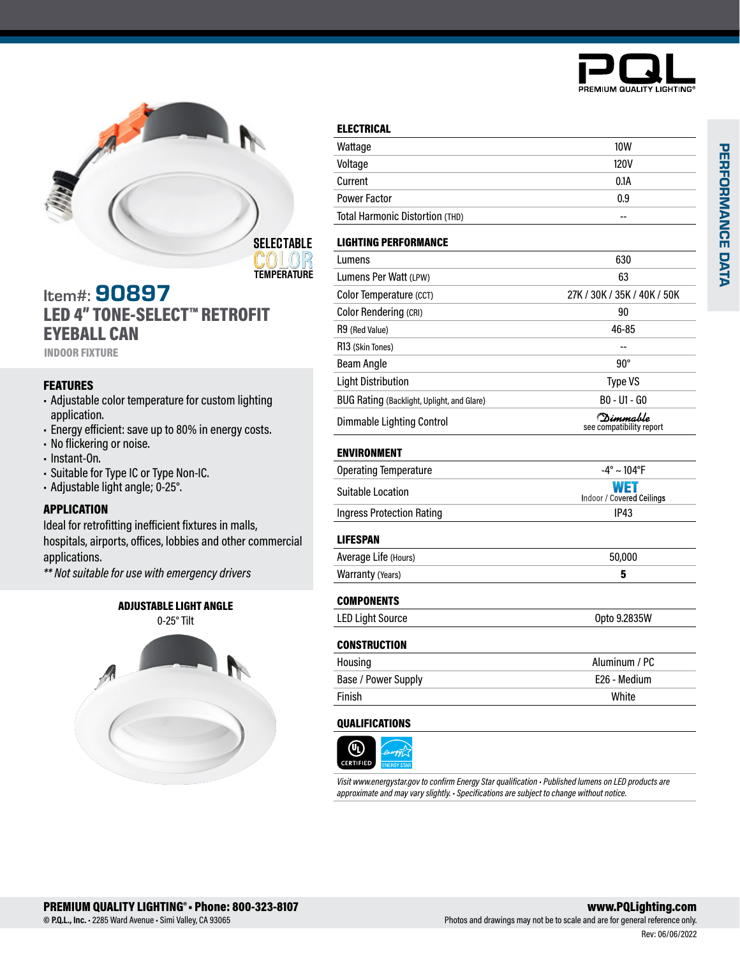



### Item#: 90897 LED 4" TONE-SELECT™ RETROFIT EYEBALL CAN

INDOOR FIXTURE

### **FEATURES**

- Adjustable color temperature for custom lighting application.
- Energy efficient: save up to 80% in energy costs.
- No flickering or noise.
- Instant-On.
- Suitable for Type IC or Type Non-IC.
- Adjustable light angle; 0-25°.

### APPLICATION

Ideal for retrofitting inefficient fixtures in malls, hospitals, airports, offices, lobbies and other commercial applications.

*\*\* Not suitable for use with emergency drivers*

# ADJUSTABLE LIGHT ANGLE 0-25° Tilt



| <b>ELECTRICAL</b>                          |                                       |  |
|--------------------------------------------|---------------------------------------|--|
| Wattage                                    | <b>10W</b>                            |  |
| Voltage                                    | 120V                                  |  |
| Current                                    | 0.1A                                  |  |
| <b>Power Factor</b>                        | 0.9                                   |  |
| Total Harmonic Distortion (THD)            | --                                    |  |
| <b>LIGHTING PERFORMANCE</b>                |                                       |  |
| Lumens                                     | 630                                   |  |
| Lumens Per Watt (LPW)                      | 63                                    |  |
| Color Temperature (CCT)                    | 27K / 30K / 35K / 40K / 50K           |  |
| Color Rendering (CRI)                      | 90                                    |  |
| R9 (Red Value)                             | 46-85                                 |  |
| R13 (Skin Tones)                           |                                       |  |
| <b>Beam Angle</b>                          | $90^{\circ}$                          |  |
| <b>Light Distribution</b>                  | <b>Type VS</b>                        |  |
| BUG Rating (Backlight, Uplight, and Glare) | B0 - U1 - G0                          |  |
| <b>Dimmable Lighting Control</b>           | (Dimmable<br>see compatibility report |  |
| <b>ENVIRONMENT</b>                         |                                       |  |
| <b>Operating Temperature</b>               | $-4^{\circ} \sim 104^{\circ}F$        |  |
| <b>Suitable Location</b>                   | WET<br>Indoor / Covered Ceilings      |  |
| <b>Ingress Protection Rating</b>           | IP43                                  |  |
| <b>LIFESPAN</b>                            |                                       |  |
| Average Life (Hours)                       | 50,000                                |  |
| Warranty (Years)                           | 5                                     |  |
| <b>COMPONENTS</b>                          |                                       |  |
| <b>LED Light Source</b>                    | Opto 9.2835W                          |  |
| <b>CONSTRUCTION</b>                        |                                       |  |
| Housing                                    | Aluminum / PC                         |  |
| Base / Power Supply                        | F <sub>26</sub> - Medium              |  |
| Finish                                     | White                                 |  |

### QUALIFICATIONS



*Visit www.energystar.gov to confirm Energy Star qualification • Published lumens on LED products are approximate and may vary slightly. • Specifications are subject to change without notice.*